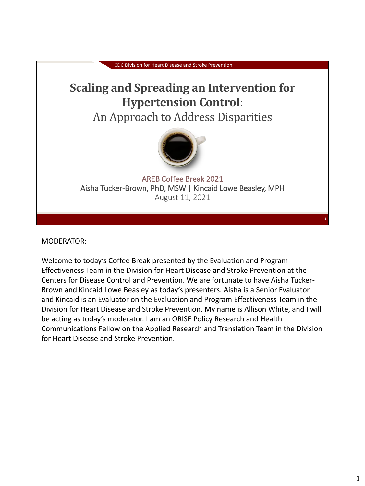

MODERATOR:

Welcome to today's Coffee Break presented by the Evaluation and Program Effectiveness Team in the Division for Heart Disease and Stroke Prevention at the Centers for Disease Control and Prevention. We are fortunate to have Aisha Tucker-Brown and Kincaid Lowe Beasley as today's presenters. Aisha is a Senior Evaluator and Kincaid is an Evaluator on the Evaluation and Program Effectiveness Team in the Division for Heart Disease and Stroke Prevention. My name is Allison White, and I will be acting as today's moderator. I am an ORISE Policy Research and Health Communications Fellow on the Applied Research and Translation Team in the Division for Heart Disease and Stroke Prevention.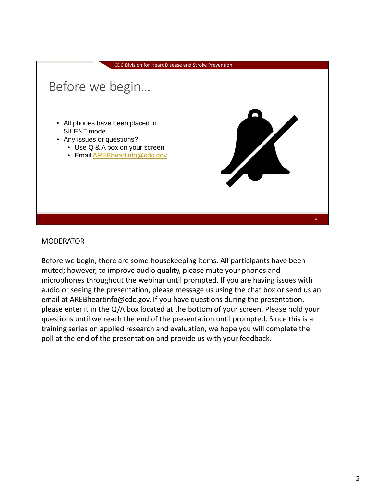

#### MODERATOR

Before we begin, there are some housekeeping items. All participants have been muted; however, to improve audio quality, please mute your phones and microphones throughout the webinar until prompted. If you are having issues with audio or seeing the presentation, please message us using the chat box or send us an email at AREBheartinfo@cdc.gov. If you have questions during the presentation, please enter it in the Q/A box located at the bottom of your screen. Please hold your questions until we reach the end of the presentation until prompted. Since this is a training series on applied research and evaluation, we hope you will complete the poll at the end of the presentation and provide us with your feedback.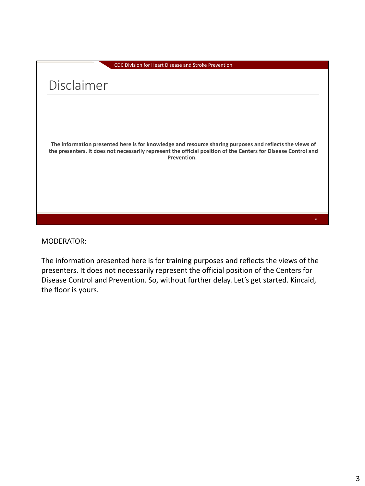### Disclaimer

**The information presented here is for knowledge and resource sharing purposes and reflects the views of the presenters. It does not necessarily represent the official position of the Centers for Disease Control and Prevention.**

MODERATOR:

The information presented here is for training purposes and reflects the views of the presenters. It does not necessarily represent the official position of the Centers for Disease Control and Prevention. So, without further delay. Let's get started. Kincaid, the floor is yours.

3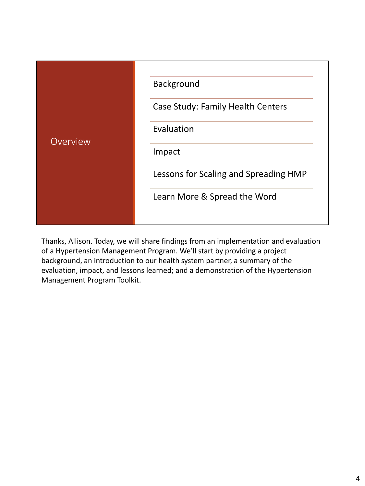| Overview | Background                            |
|----------|---------------------------------------|
|          | Case Study: Family Health Centers     |
|          | Evaluation                            |
|          | Impact                                |
|          | Lessons for Scaling and Spreading HMP |
|          | Learn More & Spread the Word          |
|          |                                       |

Thanks, Allison. Today, we will share findings from an implementation and evaluation of a Hypertension Management Program. We'll start by providing a project background, an introduction to our health system partner, a summary of the evaluation, impact, and lessons learned; and a demonstration of the Hypertension Management Program Toolkit.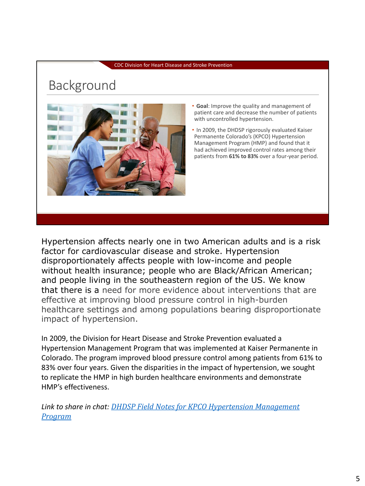## Background



- **Goal**: Improve the quality and management of patient care and decrease the number of patients with uncontrolled hypertension.
- In 2009, the DHDSP rigorously evaluated Kaiser Permanente Colorado's (KPCO) Hypertension Management Program (HMP) and found that it had achieved improved control rates among their patients from **61% to 83%** over a four-year period.

Hypertension affects nearly one in two American adults and is a risk factor for cardiovascular disease and stroke. Hypertension disproportionately affects people with low-income and people without health insurance; people who are Black/African American; and people living in the southeastern region of the US. We know that there is a need for more evidence about interventions that are effective at improving blood pressure control in high-burden healthcare settings and among populations bearing disproportionate impact of hypertension.

In 2009, the Division for Heart Disease and Stroke Prevention evaluated a Hypertension Management Program that was implemented at Kaiser Permanente in Colorado. The program improved blood pressure control among patients from 61% to 83% over four years. Given the disparities in the impact of hypertension, we sought to replicate the HMP in high burden healthcare environments and demonstrate HMP's effectiveness.

*Link to share in chat: DHDSP Field Notes for KPCO Hypertension Management Program*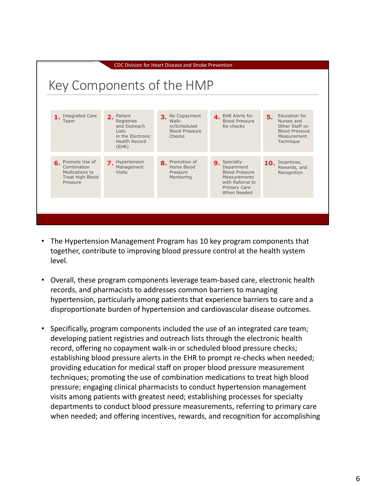

- The Hypertension Management Program has 10 key program components that together, contribute to improving blood pressure control at the health system level.
- Overall, these program components leverage team-based care, electronic health records, and pharmacists to addresses common barriers to managing hypertension, particularly among patients that experience barriers to care and a disproportionate burden of hypertension and cardiovascular disease outcomes.
- Specifically, program components included the use of an integrated care team; developing patient registries and outreach lists through the electronic health record, offering no copayment walk-in or scheduled blood pressure checks; establishing blood pressure alerts in the EHR to prompt re-checks when needed; providing education for medical staff on proper blood pressure measurement techniques; promoting the use of combination medications to treat high blood pressure; engaging clinical pharmacists to conduct hypertension management visits among patients with greatest need; establishing processes for specialty departments to conduct blood pressure measurements, referring to primary care when needed; and offering incentives, rewards, and recognition for accomplishing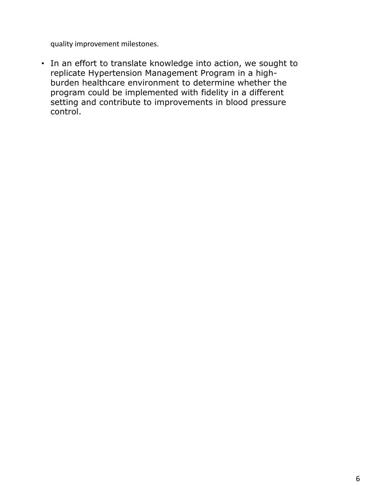quality improvement milestones.

• In an effort to translate knowledge into action, we sought to replicate Hypertension Management Program in a highburden healthcare environment to determine whether the program could be implemented with fidelity in a different setting and contribute to improvements in blood pressure control.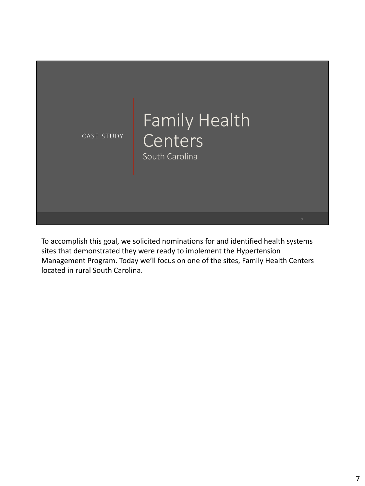

To accomplish this goal, we solicited nominations for and identified health systems sites that demonstrated they were ready to implement the Hypertension Management Program. Today we'll focus on one of the sites, Family Health Centers located in rural South Carolina.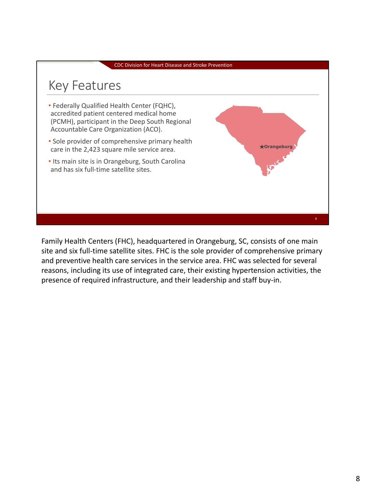

Family Health Centers (FHC), headquartered in Orangeburg, SC, consists of one main site and six full-time satellite sites. FHC is the sole provider of comprehensive primary and preventive health care services in the service area. FHC was selected for several reasons, including its use of integrated care, their existing hypertension activities, the presence of required infrastructure, and their leadership and staff buy-in.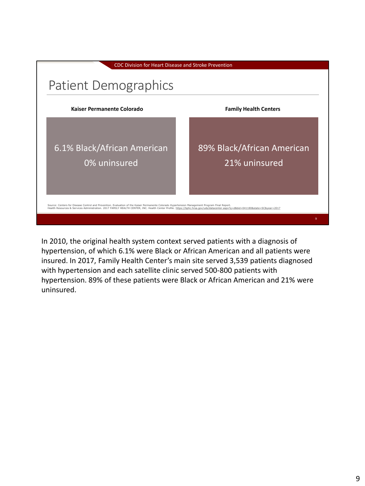

In 2010, the original health system context served patients with a diagnosis of hypertension, of which 6.1% were Black or African American and all patients were insured. In 2017, Family Health Center's main site served 3,539 patients diagnosed with hypertension and each satellite clinic served 500-800 patients with hypertension. 89% of these patients were Black or African American and 21% were uninsured.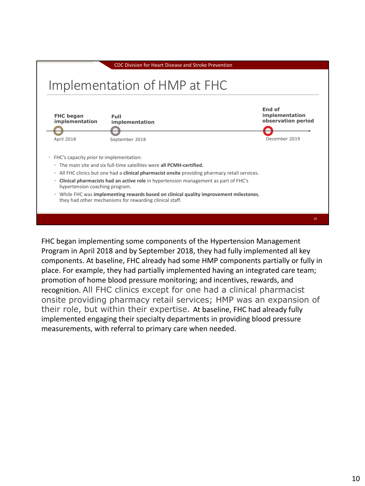

FHC began implementing some components of the Hypertension Management Program in April 2018 and by September 2018, they had fully implemented all key components. At baseline, FHC already had some HMP components partially or fully in place. For example, they had partially implemented having an integrated care team; promotion of home blood pressure monitoring; and incentives, rewards, and recognition. All FHC clinics except for one had a clinical pharmacist onsite providing pharmacy retail services; HMP was an expansion of their role, but within their expertise. At baseline, FHC had already fully implemented engaging their specialty departments in providing blood pressure measurements, with referral to primary care when needed.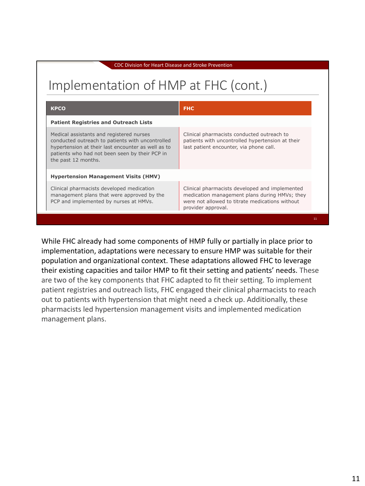# Implementation of HMP at FHC (cont.)

| <b>KPCO</b>                                                                                                                                                                                                                 | <b>FHC</b>                                                                                                                                                               |  |  |
|-----------------------------------------------------------------------------------------------------------------------------------------------------------------------------------------------------------------------------|--------------------------------------------------------------------------------------------------------------------------------------------------------------------------|--|--|
| <b>Patient Registries and Outreach Lists</b>                                                                                                                                                                                |                                                                                                                                                                          |  |  |
| Medical assistants and registered nurses<br>conducted outreach to patients with uncontrolled<br>hypertension at their last encounter as well as to<br>patients who had not been seen by their PCP in<br>the past 12 months. | Clinical pharmacists conducted outreach to<br>patients with uncontrolled hypertension at their<br>last patient encounter, via phone call.                                |  |  |
| <b>Hypertension Management Visits (HMV)</b>                                                                                                                                                                                 |                                                                                                                                                                          |  |  |
| Clinical pharmacists developed medication<br>management plans that were approved by the<br>PCP and implemented by nurses at HMVs.                                                                                           | Clinical pharmacists developed and implemented<br>medication management plans during HMVs; they<br>were not allowed to titrate medications without<br>provider approval. |  |  |
|                                                                                                                                                                                                                             |                                                                                                                                                                          |  |  |

While FHC already had some components of HMP fully or partially in place prior to implementation, adaptations were necessary to ensure HMP was suitable for their population and organizational context. These adaptations allowed FHC to leverage their existing capacities and tailor HMP to fit their setting and patients' needs. These are two of the key components that FHC adapted to fit their setting. To implement patient registries and outreach lists, FHC engaged their clinical pharmacists to reach out to patients with hypertension that might need a check up. Additionally, these pharmacists led hypertension management visits and implemented medication management plans.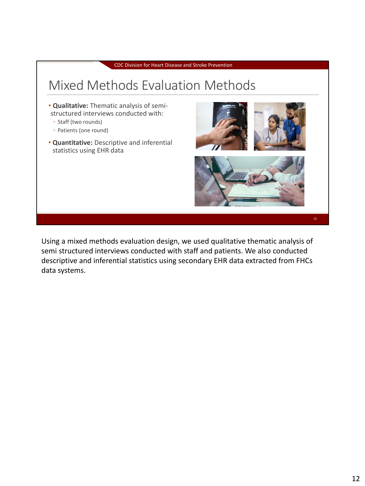

Using a mixed methods evaluation design, we used qualitative thematic analysis of semi structured interviews conducted with staff and patients. We also conducted descriptive and inferential statistics using secondary EHR data extracted from FHCs data systems.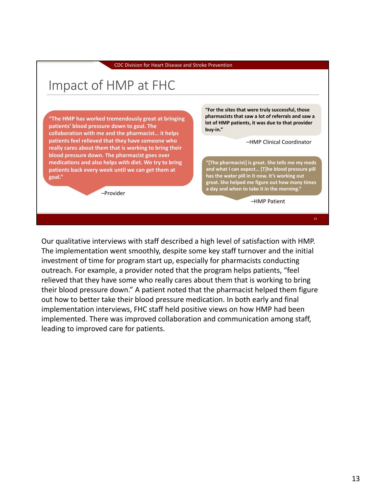# Impact of HMP at FHC

**"The HMP has worked tremendously great at bringing patients' blood pressure down to goal. The collaboration with me and the pharmacist… it helps patients feel relieved that they have someone who really cares about them that is working to bring their blood pressure down. The pharmacist goes over medications and also helps with diet. We try to bring patients back every week until we can get them at goal."**

–Provider

**"For the sites that were truly successful, those pharmacists that saw a lot of referrals and saw a lot of HMP patients, it was due to that provider buy-in."**

–HMP Clinical Coordinator

**"[The pharmacist] is great. She tells me my meds and what I can expect… [T]he blood pressure pill has the water pill in it now. It's working out great. She helped me figure out how many times a day and when to take it in the morning."** 

–HMP Patient

Our qualitative interviews with staff described a high level of satisfaction with HMP. The implementation went smoothly, despite some key staff turnover and the initial investment of time for program start up, especially for pharmacists conducting outreach. For example, a provider noted that the program helps patients, "feel relieved that they have some who really cares about them that is working to bring their blood pressure down." A patient noted that the pharmacist helped them figure out how to better take their blood pressure medication. In both early and final implementation interviews, FHC staff held positive views on how HMP had been implemented. There was improved collaboration and communication among staff, leading to improved care for patients.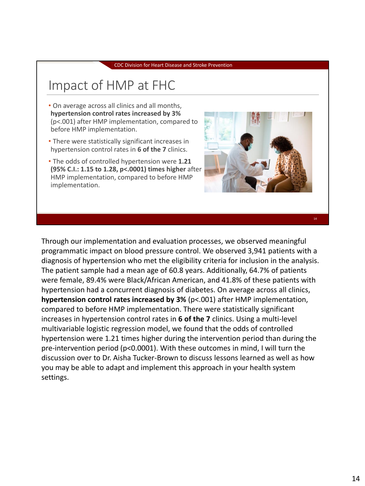## Impact of HMP at FHC

- On average across all clinics and all months, **hypertension control rates increased by 3%**  (p<.001) after HMP implementation, compared to before HMP implementation.
- There were statistically significant increases in hypertension control rates in **6 of the 7** clinics.
- The odds of controlled hypertension were **1.21 (95% C.I.: 1.15 to 1.28, p<.0001) times higher** after HMP implementation, compared to before HMP implementation.



14

Through our implementation and evaluation processes, we observed meaningful programmatic impact on blood pressure control. We observed 3,941 patients with a diagnosis of hypertension who met the eligibility criteria for inclusion in the analysis. The patient sample had a mean age of 60.8 years. Additionally, 64.7% of patients were female, 89.4% were Black/African American, and 41.8% of these patients with hypertension had a concurrent diagnosis of diabetes. On average across all clinics, **hypertension control rates increased by 3%** (p<.001) after HMP implementation, compared to before HMP implementation. There were statistically significant increases in hypertension control rates in **6 of the 7** clinics. Using a multi-level multivariable logistic regression model, we found that the odds of controlled hypertension were 1.21 times higher during the intervention period than during the pre-intervention period (p<0.0001). With these outcomes in mind, I will turn the discussion over to Dr. Aisha Tucker-Brown to discuss lessons learned as well as how you may be able to adapt and implement this approach in your health system settings.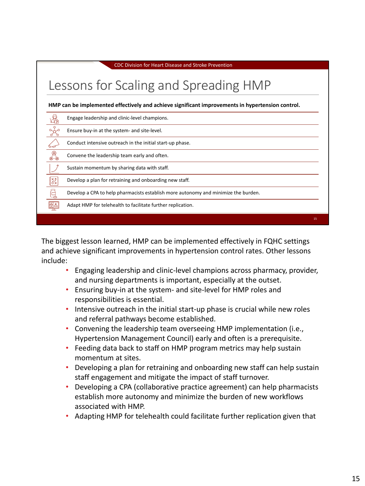| CDC Division for Heart Disease and Stroke Prevention                                             |                                                                                    |    |  |
|--------------------------------------------------------------------------------------------------|------------------------------------------------------------------------------------|----|--|
|                                                                                                  | Lessons for Scaling and Spreading HMP                                              |    |  |
| HMP can be implemented effectively and achieve significant improvements in hypertension control. |                                                                                    |    |  |
|                                                                                                  | Engage leadership and clinic-level champions.                                      |    |  |
|                                                                                                  | Ensure buy-in at the system- and site-level.                                       |    |  |
|                                                                                                  | Conduct intensive outreach in the initial start-up phase.                          |    |  |
|                                                                                                  | Convene the leadership team early and often.                                       |    |  |
|                                                                                                  | Sustain momentum by sharing data with staff.                                       |    |  |
| KA<br>이                                                                                          | Develop a plan for retraining and onboarding new staff.                            |    |  |
|                                                                                                  | Develop a CPA to help pharmacists establish more autonomy and minimize the burden. |    |  |
|                                                                                                  | Adapt HMP for telehealth to facilitate further replication.                        |    |  |
|                                                                                                  |                                                                                    | 15 |  |

The biggest lesson learned, HMP can be implemented effectively in FQHC settings and achieve significant improvements in hypertension control rates. Other lessons include:

- Engaging leadership and clinic-level champions across pharmacy, provider, and nursing departments is important, especially at the outset.
- Ensuring buy-in at the system- and site-level for HMP roles and responsibilities is essential.
- Intensive outreach in the initial start-up phase is crucial while new roles and referral pathways become established.
- Convening the leadership team overseeing HMP implementation (i.e., Hypertension Management Council) early and often is a prerequisite.
- Feeding data back to staff on HMP program metrics may help sustain momentum at sites.
- Developing a plan for retraining and onboarding new staff can help sustain staff engagement and mitigate the impact of staff turnover.
- Developing a CPA (collaborative practice agreement) can help pharmacists establish more autonomy and minimize the burden of new workflows associated with HMP.
- Adapting HMP for telehealth could facilitate further replication given that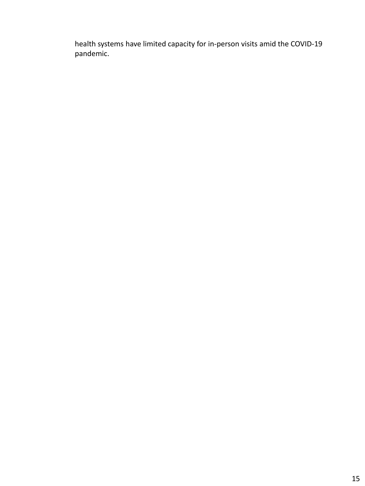health systems have limited capacity for in-person visits amid the COVID-19 pandemic.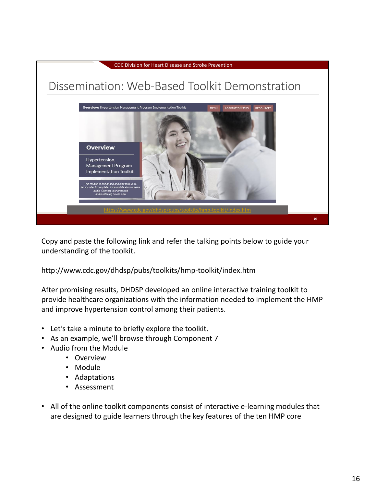

Copy and paste the following link and refer the talking points below to guide your understanding of the toolkit.

### http://www.cdc.gov/dhdsp/pubs/toolkits/hmp-toolkit/index.htm

After promising results, DHDSP developed an online interactive training toolkit to provide healthcare organizations with the information needed to implement the HMP and improve hypertension control among their patients.

- Let's take a minute to briefly explore the toolkit.
- As an example, we'll browse through Component 7
- Audio from the Module
	- Overview
	- Module
	- Adaptations
	- Assessment
- All of the online toolkit components consist of interactive e-learning modules that are designed to guide learners through the key features of the ten HMP core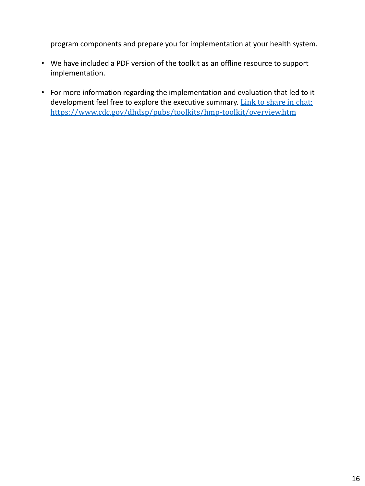program components and prepare you for implementation at your health system.

- We have included a PDF version of the toolkit as an offline resource to support implementation.
- For more information regarding the implementation and evaluation that led to it development feel free to explore the executive summary. Link to share in chat: https://www.cdc.gov/dhdsp/pubs/toolkits/hmp-toolkit/overview.htm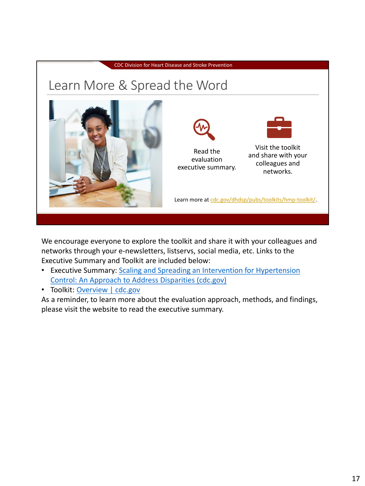

We encourage everyone to explore the toolkit and share it with your colleagues and networks through your e-newsletters, listservs, social media, etc. Links to the Executive Summary and Toolkit are included below:

- Executive Summary: Scaling and Spreading an Intervention for Hypertension Control: An Approach to Address Disparities (cdc.gov)
- Toolkit: Overview | cdc.gov

As a reminder, to learn more about the evaluation approach, methods, and findings, please visit the website to read the executive summary.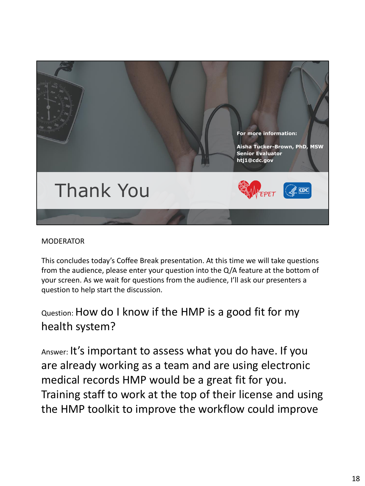

### MODERATOR

This concludes today's Coffee Break presentation. At this time we will take questions from the audience, please enter your question into the Q/A feature at the bottom of your screen. As we wait for questions from the audience, I'll ask our presenters a question to help start the discussion.

### Question: How do I know if the HMP is a good fit for my health system?

Answer: It's important to assess what you do have. If you are already working as a team and are using electronic medical records HMP would be a great fit for you. Training staff to work at the top of their license and using the HMP toolkit to improve the workflow could improve